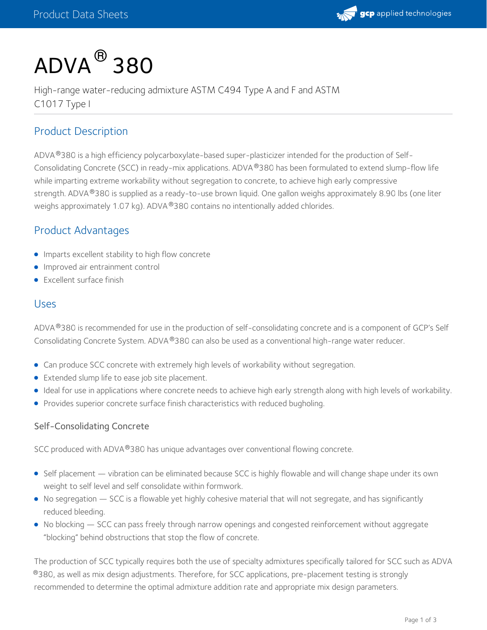

# $\mathsf{ADVA}^{\, \mathsf{\scriptsize{\textcircled{\tiny{R}}}}}$ 380

High-range water-reducing admixture ASTM C494 Type A and F and ASTM C1017 Type I

# Product Description

ADVA®380 is a high efficiency polycarboxylate-based super-plasticizer intended for the production of Self-Consolidating Concrete (SCC) in ready-mix applications. ADVA®380 has been formulated to extend slump-flow life while imparting extreme workability without segregation to concrete, to achieve high early compressive strength. ADVA®380 is supplied as a ready-to-use brown liquid. One gallon weighs approximately 8.90 lbs (one liter weighs approximately 1.07 kg). ADVA®380 contains no intentionally added chlorides.

## Product Advantages

- **Imparts excellent stability to high flow concrete**
- **Improved air entrainment control**
- **•** Excellent surface finish

### Uses

ADVA®380 is recommended for use in the production of self-consolidating concrete and is a component of GCP's Self Consolidating Concrete System. ADVA®380 can also be used as a conventional high-range water reducer.

- Can produce SCC concrete with extremely high levels of workability without segregation.
- **•** Extended slump life to ease job site placement.
- Ideal for use in applications where concrete needs to achieve high early strength along with high levels of workability.
- Provides superior concrete surface finish characteristics with reduced bugholing.

#### Self-Consolidating Concrete

SCC produced with ADVA®380 has unique advantages over conventional flowing concrete.

- Self placement vibration can be eliminated because SCC is highly flowable and will change shape under its own weight to self level and self consolidate within formwork.
- No segregation SCC is a flowable yet highly cohesive material that will not segregate, and has significantly reduced bleeding.
- No blocking SCC can pass freely through narrow openings and congested reinforcement without aggregate "blocking" behind obstructions that stop the flow of concrete.

The production of SCC typically requires both the use of specialty admixtures specifically tailored for SCC such as ADVA  $^\circledR$ 380, as well as mix design adjustments. Therefore, for SCC applications, pre-placement testing is strongly recommended to determine the optimal admixture addition rate and appropriate mix design parameters.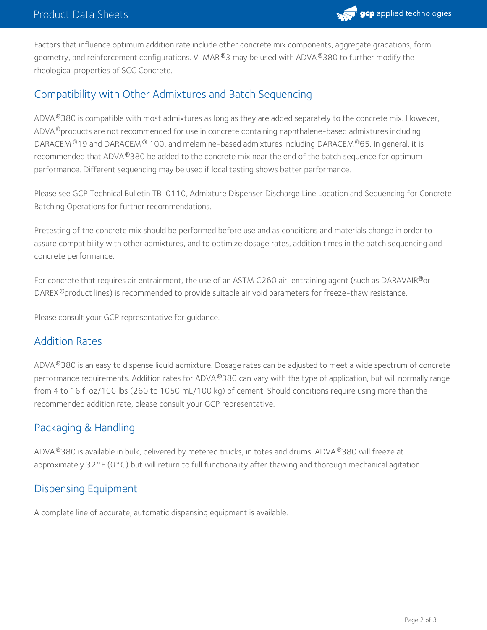

Factors that influence optimum addition rate include other concrete mix components, aggregate gradations, form geometry, and reinforcement configurations. V–MAR $^\circledR$ 3 may be used with ADVA $^\circledR$ 380 to further modify the rheological properties of SCC Concrete.

# Compatibility with Other Admixtures and Batch Sequencing

ADVA®380 is compatible with most admixtures as long as they are added separately to the concrete mix. However, ADVA®products are not recommended for use in concrete containing naphthalene-based admixtures including DARACEM  $^{\circledR}$ 19 and DARACEM  $^{\circledR}$  100, and melamine-based admixtures including DARACEM  $^{\circledR}$ 65. In general, it is recommended that ADVA $^\circledR$ 380 be added to the concrete mix near the end of the batch sequence for optimum performance. Different sequencing may be used if local testing shows better performance.

Please see GCP Technical Bulletin TB-0110, Admixture Dispenser Discharge Line Location and Sequencing for Concrete Batching Operations for further recommendations.

Pretesting of the concrete mix should be performed before use and as conditions and materials change in order to assure compatibility with other admixtures, and to optimize dosage rates, addition times in the batch sequencing and concrete performance.

For concrete that requires air entrainment, the use of an ASTM C260 air-entraining agent (such as DARAVAIR®or DAREX®product lines) is recommended to provide suitable air void parameters for freeze-thaw resistance.

Please consult your GCP representative for guidance.

## Addition Rates

ADVA®380 is an easy to dispense liquid admixture. Dosage rates can be adjusted to meet a wide spectrum of concrete performance requirements. Addition rates for ADVA®380 can vary with the type of application, but will normally range from 4to 16 fl oz/100 lbs (260 to 1050 mL/100 kg) of cement. Should conditions require using more than the recommended addition rate, please consult your GCP representative.

# Packaging & Handling

<code>ADVA®380</code> is available in bulk, delivered by metered trucks, in totes and drums. <code>ADVA®380</code> will freeze at approximately 32°F (0°C) but will return to full functionality after thawing and thorough mechanical agitation.

## Dispensing Equipment

A complete line of accurate, automatic dispensing equipment is available.